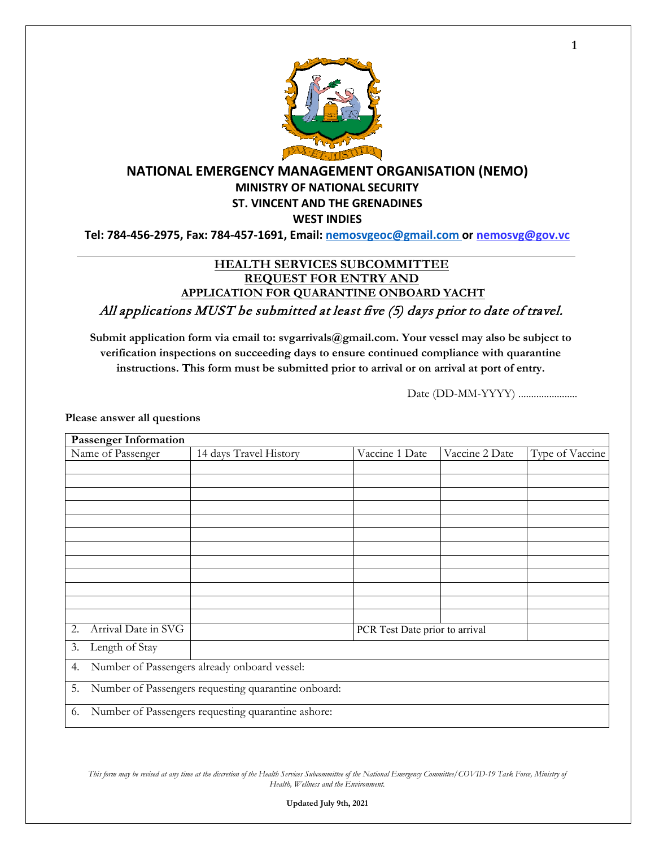

### **NATIONAL EMERGENCY MANAGEMENT ORGANISATION (NEMO) MINISTRY OF NATIONAL SECURITY ST. VINCENT AND THE GRENADINES WEST INDIES**

**Tel: 784-456-2975, Fax: 784-457-1691, Email: nemosvgeoc@gmail.com or nemosvg@gov.vc**

## **HEALTH SERVICES SUBCOMMITTEE REQUEST FOR ENTRY AND APPLICATION FOR QUARANTINE ONBOARD YACHT**

All applications MUST be submitted at least five (5) days prior to date of travel.

**Submit application form via email to: svgarrivals@gmail.com. Your vessel may also be subject to verification inspections on succeeding days to ensure continued compliance with quarantine instructions. This form must be submitted prior to arrival or on arrival at port of entry.** 

Date (DD-MM-YYYY) ........................

**Please answer all questions**

| <b>Passenger Information</b>                              |                        |                |                                |                 |  |
|-----------------------------------------------------------|------------------------|----------------|--------------------------------|-----------------|--|
| Name of Passenger                                         | 14 days Travel History | Vaccine 1 Date | Vaccine 2 Date                 | Type of Vaccine |  |
|                                                           |                        |                |                                |                 |  |
|                                                           |                        |                |                                |                 |  |
|                                                           |                        |                |                                |                 |  |
|                                                           |                        |                |                                |                 |  |
|                                                           |                        |                |                                |                 |  |
|                                                           |                        |                |                                |                 |  |
|                                                           |                        |                |                                |                 |  |
|                                                           |                        |                |                                |                 |  |
|                                                           |                        |                |                                |                 |  |
|                                                           |                        |                |                                |                 |  |
|                                                           |                        |                |                                |                 |  |
|                                                           |                        |                |                                |                 |  |
| Arrival Date in SVG<br>2.                                 |                        |                | PCR Test Date prior to arrival |                 |  |
| Length of Stay<br>3.                                      |                        |                |                                |                 |  |
| Number of Passengers already onboard vessel:<br>4.        |                        |                |                                |                 |  |
| Number of Passengers requesting quarantine onboard:<br>5. |                        |                |                                |                 |  |
| Number of Passengers requesting quarantine ashore:<br>6.  |                        |                |                                |                 |  |

This form may be revised at any time at the discretion of the Health Services Subcommittee of the National Emergency Committee/COVID-19 Task Force, Ministry of *Health, Wellness and the Environment.* 

**1**